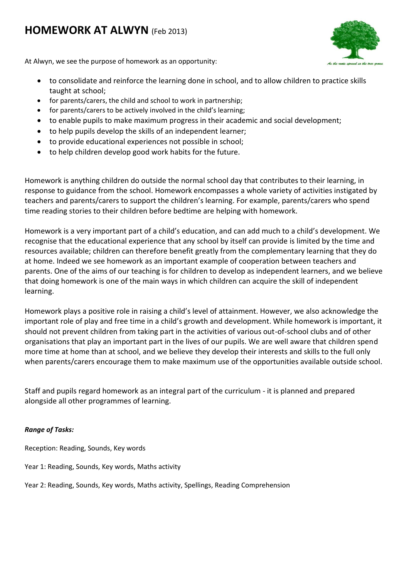# **HOMEWORK AT ALWYN** (Feb 2013)



At Alwyn, we see the purpose of homework as an opportunity:

- to consolidate and reinforce the learning done in school, and to allow children to practice skills taught at school;
- for parents/carers, the child and school to work in partnership;
- for parents/carers to be actively involved in the child's learning;
- to enable pupils to make maximum progress in their academic and social development;
- to help pupils develop the skills of an independent learner;
- to provide educational experiences not possible in school;
- to help children develop good work habits for the future.

Homework is anything children do outside the normal school day that contributes to their learning, in response to guidance from the school. Homework encompasses a whole variety of activities instigated by teachers and parents/carers to support the children's learning. For example, parents/carers who spend time reading stories to their children before bedtime are helping with homework.

Homework is a very important part of a child's education, and can add much to a child's development. We recognise that the educational experience that any school by itself can provide is limited by the time and resources available; children can therefore benefit greatly from the complementary learning that they do at home. Indeed we see homework as an important example of cooperation between teachers and parents. One of the aims of our teaching is for children to develop as independent learners, and we believe that doing homework is one of the main ways in which children can acquire the skill of independent learning.

Homework plays a positive role in raising a child's level of attainment. However, we also acknowledge the important role of play and free time in a child's growth and development. While homework is important, it should not prevent children from taking part in the activities of various out-of-school clubs and of other organisations that play an important part in the lives of our pupils. We are well aware that children spend more time at home than at school, and we believe they develop their interests and skills to the full only when parents/carers encourage them to make maximum use of the opportunities available outside school.

Staff and pupils regard homework as an integral part of the curriculum - it is planned and prepared alongside all other programmes of learning.

## *Range of Tasks:*

Reception: Reading, Sounds, Key words

Year 1: Reading, Sounds, Key words, Maths activity

Year 2: Reading, Sounds, Key words, Maths activity, Spellings, Reading Comprehension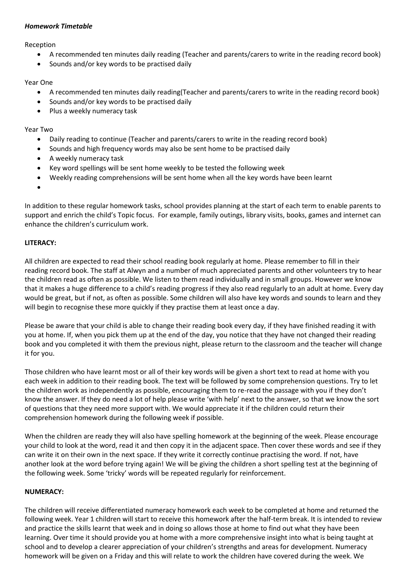#### *Homework Timetable*

Reception

- A recommended ten minutes daily reading (Teacher and parents/carers to write in the reading record book)
- Sounds and/or key words to be practised daily

#### Year One

- A recommended ten minutes daily reading(Teacher and parents/carers to write in the reading record book)
- Sounds and/or key words to be practised daily
- Plus a weekly numeracy task

## Year Two

- Daily reading to continue (Teacher and parents/carers to write in the reading record book)
- Sounds and high frequency words may also be sent home to be practised daily
- A weekly numeracy task
- Key word spellings will be sent home weekly to be tested the following week
- Weekly reading comprehensions will be sent home when all the key words have been learnt
- $\bullet$

In addition to these regular homework tasks, school provides planning at the start of each term to enable parents to support and enrich the child's Topic focus. For example, family outings, library visits, books, games and internet can enhance the children's curriculum work.

## **LITERACY:**

All children are expected to read their school reading book regularly at home. Please remember to fill in their reading record book. The staff at Alwyn and a number of much appreciated parents and other volunteers try to hear the children read as often as possible. We listen to them read individually and in small groups. However we know that it makes a huge difference to a child's reading progress if they also read regularly to an adult at home. Every day would be great, but if not, as often as possible. Some children will also have key words and sounds to learn and they will begin to recognise these more quickly if they practise them at least once a day.

Please be aware that your child is able to change their reading book every day, if they have finished reading it with you at home. If, when you pick them up at the end of the day, you notice that they have not changed their reading book and you completed it with them the previous night, please return to the classroom and the teacher will change it for you.

Those children who have learnt most or all of their key words will be given a short text to read at home with you each week in addition to their reading book. The text will be followed by some comprehension questions. Try to let the children work as independently as possible, encouraging them to re-read the passage with you if they don't know the answer. If they do need a lot of help please write 'with help' next to the answer, so that we know the sort of questions that they need more support with. We would appreciate it if the children could return their comprehension homework during the following week if possible.

When the children are ready they will also have spelling homework at the beginning of the week. Please encourage your child to look at the word, read it and then copy it in the adjacent space. Then cover these words and see if they can write it on their own in the next space. If they write it correctly continue practising the word. If not, have another look at the word before trying again! We will be giving the children a short spelling test at the beginning of the following week. Some 'tricky' words will be repeated regularly for reinforcement.

## **NUMERACY:**

The children will receive differentiated numeracy homework each week to be completed at home and returned the following week. Year 1 children will start to receive this homework after the half-term break. It is intended to review and practice the skills learnt that week and in doing so allows those at home to find out what they have been learning. Over time it should provide you at home with a more comprehensive insight into what is being taught at school and to develop a clearer appreciation of your children's strengths and areas for development. Numeracy homework will be given on a Friday and this will relate to work the children have covered during the week. We